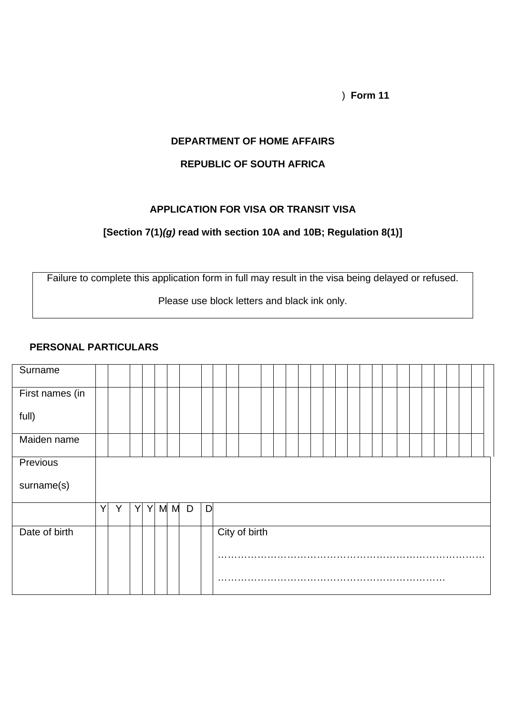) **Form 11**

#### **DEPARTMENT OF HOME AFFAIRS**

# **REPUBLIC OF SOUTH AFRICA**

### **APPLICATION FOR VISA OR TRANSIT VISA**

## **[Section 7(1)***(g)* **read with section 10A and 10B; Regulation 8(1)]**

Failure to complete this application form in full may result in the visa being delayed or refused.

Please use block letters and black ink only.

#### **PERSONAL PARTICULARS**

| Surname         |   |   |   |   |     |   |   |  |               |  |  |  |  |  |  |  |  |  |
|-----------------|---|---|---|---|-----|---|---|--|---------------|--|--|--|--|--|--|--|--|--|
| First names (in |   |   |   |   |     |   |   |  |               |  |  |  |  |  |  |  |  |  |
| full)           |   |   |   |   |     |   |   |  |               |  |  |  |  |  |  |  |  |  |
| Maiden name     |   |   |   |   |     |   |   |  |               |  |  |  |  |  |  |  |  |  |
| Previous        |   |   |   |   |     |   |   |  |               |  |  |  |  |  |  |  |  |  |
| surname(s)      |   |   |   |   |     |   |   |  |               |  |  |  |  |  |  |  |  |  |
|                 | Y | Y | Y | Y | M M | D | D |  |               |  |  |  |  |  |  |  |  |  |
| Date of birth   |   |   |   |   |     |   |   |  | City of birth |  |  |  |  |  |  |  |  |  |
|                 |   |   |   |   |     |   |   |  |               |  |  |  |  |  |  |  |  |  |
|                 |   |   |   |   |     |   |   |  |               |  |  |  |  |  |  |  |  |  |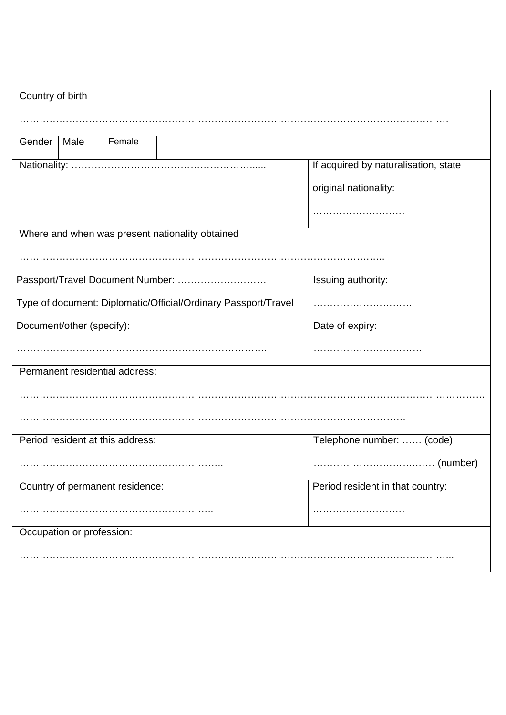| Country of birth                                               |                                      |
|----------------------------------------------------------------|--------------------------------------|
|                                                                |                                      |
| Female<br>Gender<br>Male                                       |                                      |
|                                                                | If acquired by naturalisation, state |
|                                                                | original nationality:                |
|                                                                |                                      |
| Where and when was present nationality obtained                |                                      |
|                                                                |                                      |
| Passport/Travel Document Number:                               | Issuing authority:                   |
| Type of document: Diplomatic/Official/Ordinary Passport/Travel |                                      |
| Document/other (specify):                                      | Date of expiry:                      |
|                                                                |                                      |
| Permanent residential address:                                 |                                      |
|                                                                |                                      |
|                                                                |                                      |
| Period resident at this address:                               | Telephone number:  (code)            |
|                                                                |                                      |
| Country of permanent residence:                                | Period resident in that country:     |
|                                                                |                                      |
| Occupation or profession:                                      |                                      |
|                                                                |                                      |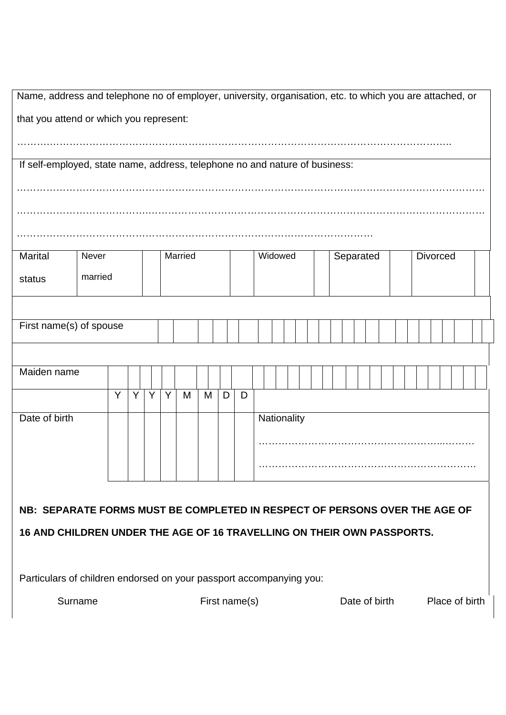| Name, address and telephone no of employer, university, organisation, etc. to which you are attached, or |         |   |  |   |               |   |         |   |                |   |  |             |  |  |           |  |  |  |                 |  |  |  |
|----------------------------------------------------------------------------------------------------------|---------|---|--|---|---------------|---|---------|---|----------------|---|--|-------------|--|--|-----------|--|--|--|-----------------|--|--|--|
| that you attend or which you represent:                                                                  |         |   |  |   |               |   |         |   |                |   |  |             |  |  |           |  |  |  |                 |  |  |  |
|                                                                                                          |         |   |  |   |               |   |         |   |                |   |  |             |  |  |           |  |  |  |                 |  |  |  |
| If self-employed, state name, address, telephone no and nature of business:                              |         |   |  |   |               |   |         |   |                |   |  |             |  |  |           |  |  |  |                 |  |  |  |
|                                                                                                          |         |   |  |   |               |   |         |   |                |   |  |             |  |  |           |  |  |  |                 |  |  |  |
|                                                                                                          |         |   |  |   |               |   |         |   |                |   |  |             |  |  |           |  |  |  |                 |  |  |  |
|                                                                                                          |         |   |  |   |               |   |         |   |                |   |  |             |  |  |           |  |  |  |                 |  |  |  |
|                                                                                                          |         |   |  |   |               |   |         |   |                |   |  |             |  |  |           |  |  |  |                 |  |  |  |
| Marital                                                                                                  | Never   |   |  |   |               |   | Married |   |                |   |  | Widowed     |  |  | Separated |  |  |  | <b>Divorced</b> |  |  |  |
| status                                                                                                   | married |   |  |   |               |   |         |   |                |   |  |             |  |  |           |  |  |  |                 |  |  |  |
|                                                                                                          |         |   |  |   |               |   |         |   |                |   |  |             |  |  |           |  |  |  |                 |  |  |  |
| First name(s) of spouse                                                                                  |         |   |  |   |               |   |         |   |                |   |  |             |  |  |           |  |  |  |                 |  |  |  |
|                                                                                                          |         |   |  |   |               |   |         |   |                |   |  |             |  |  |           |  |  |  |                 |  |  |  |
| Maiden name                                                                                              |         |   |  |   |               |   |         |   |                |   |  |             |  |  |           |  |  |  |                 |  |  |  |
|                                                                                                          |         | Y |  | Υ | Y             | Υ | M       | M | D              | D |  |             |  |  |           |  |  |  |                 |  |  |  |
| Date of birth                                                                                            |         |   |  |   |               |   |         |   |                |   |  | Nationality |  |  |           |  |  |  |                 |  |  |  |
|                                                                                                          |         |   |  |   |               |   |         |   |                |   |  |             |  |  |           |  |  |  |                 |  |  |  |
|                                                                                                          |         |   |  |   |               |   |         |   |                |   |  |             |  |  |           |  |  |  |                 |  |  |  |
|                                                                                                          |         |   |  |   |               |   |         |   |                |   |  |             |  |  |           |  |  |  |                 |  |  |  |
|                                                                                                          |         |   |  |   |               |   |         |   |                |   |  |             |  |  |           |  |  |  |                 |  |  |  |
| NB: SEPARATE FORMS MUST BE COMPLETED IN RESPECT OF PERSONS OVER THE AGE OF                               |         |   |  |   |               |   |         |   |                |   |  |             |  |  |           |  |  |  |                 |  |  |  |
| 16 AND CHILDREN UNDER THE AGE OF 16 TRAVELLING ON THEIR OWN PASSPORTS.                                   |         |   |  |   |               |   |         |   |                |   |  |             |  |  |           |  |  |  |                 |  |  |  |
|                                                                                                          |         |   |  |   |               |   |         |   |                |   |  |             |  |  |           |  |  |  |                 |  |  |  |
| Particulars of children endorsed on your passport accompanying you:                                      |         |   |  |   |               |   |         |   |                |   |  |             |  |  |           |  |  |  |                 |  |  |  |
| Surname<br>First name(s)                                                                                 |         |   |  |   | Date of birth |   |         |   | Place of birth |   |  |             |  |  |           |  |  |  |                 |  |  |  |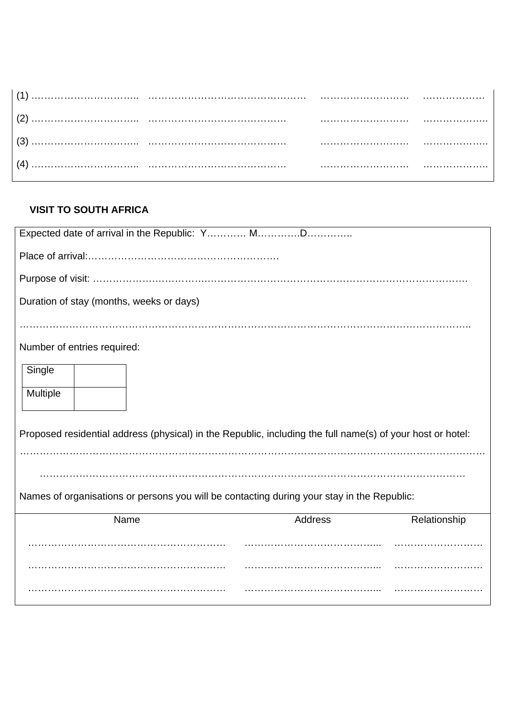|  | . |
|--|---|
|  |   |
|  |   |
|  | . |

# **VISIT TO SOUTH AFRICA**

| Duration of stay (months, weeks or days)                                                                   |  |  |  |  |  |  |  |
|------------------------------------------------------------------------------------------------------------|--|--|--|--|--|--|--|
|                                                                                                            |  |  |  |  |  |  |  |
| Number of entries required:                                                                                |  |  |  |  |  |  |  |
| Single                                                                                                     |  |  |  |  |  |  |  |
| Multiple                                                                                                   |  |  |  |  |  |  |  |
| Proposed residential address (physical) in the Republic, including the full name(s) of your host or hotel: |  |  |  |  |  |  |  |
|                                                                                                            |  |  |  |  |  |  |  |
| Names of organisations or persons you will be contacting during your stay in the Republic:                 |  |  |  |  |  |  |  |
| <b>Address</b><br>Name<br>Relationship                                                                     |  |  |  |  |  |  |  |
|                                                                                                            |  |  |  |  |  |  |  |
|                                                                                                            |  |  |  |  |  |  |  |
|                                                                                                            |  |  |  |  |  |  |  |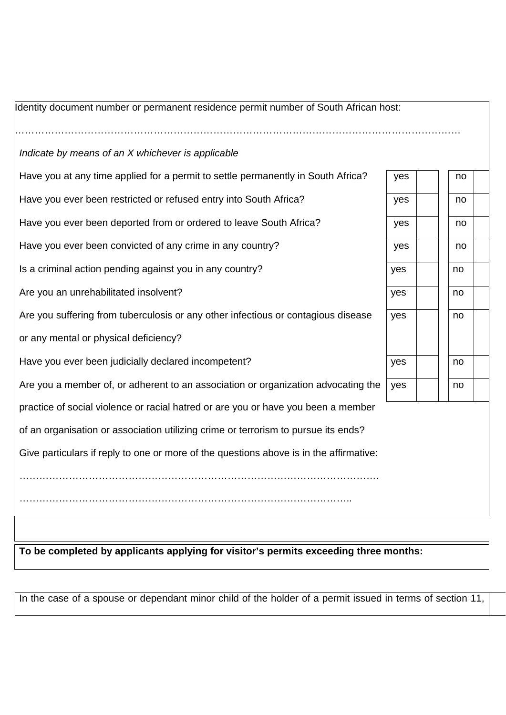| Identity document number or permanent residence permit number of South African host:   |     |    |
|----------------------------------------------------------------------------------------|-----|----|
| Indicate by means of an X whichever is applicable                                      |     |    |
| Have you at any time applied for a permit to settle permanently in South Africa?       | yes | no |
| Have you ever been restricted or refused entry into South Africa?                      | yes | no |
| Have you ever been deported from or ordered to leave South Africa?                     | yes | no |
| Have you ever been convicted of any crime in any country?                              | yes | no |
| Is a criminal action pending against you in any country?                               | yes | no |
| Are you an unrehabilitated insolvent?                                                  | yes | no |
| Are you suffering from tuberculosis or any other infectious or contagious disease      | yes | no |
| or any mental or physical deficiency?                                                  |     |    |
| Have you ever been judicially declared incompetent?                                    | yes | no |
| Are you a member of, or adherent to an association or organization advocating the      | yes | no |
| practice of social violence or racial hatred or are you or have you been a member      |     |    |
| of an organisation or association utilizing crime or terrorism to pursue its ends?     |     |    |
| Give particulars if reply to one or more of the questions above is in the affirmative: |     |    |
|                                                                                        |     |    |
|                                                                                        |     |    |

**To be completed by applicants applying for visitor's permits exceeding three months:** 

In the case of a spouse or dependant minor child of the holder of a permit issued in terms of section 11,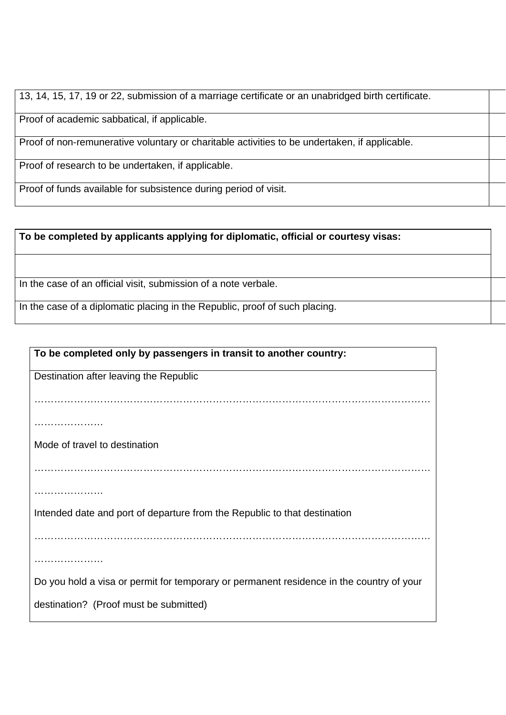| 13, 14, 15, 17, 19 or 22, submission of a marriage certificate or an unabridged birth certificate. |  |
|----------------------------------------------------------------------------------------------------|--|
| Proof of academic sabbatical, if applicable.                                                       |  |
| Proof of non-remunerative voluntary or charitable activities to be undertaken, if applicable.      |  |
| Proof of research to be undertaken, if applicable.                                                 |  |
| Proof of funds available for subsistence during period of visit.                                   |  |

| To be completed by applicants applying for diplomatic, official or courtesy visas: |  |
|------------------------------------------------------------------------------------|--|
|                                                                                    |  |
| In the case of an official visit, submission of a note verbale.                    |  |
| In the case of a diplomatic placing in the Republic, proof of such placing.        |  |

| To be completed only by passengers in transit to another country:                        |
|------------------------------------------------------------------------------------------|
| Destination after leaving the Republic                                                   |
|                                                                                          |
| .                                                                                        |
| Mode of travel to destination                                                            |
|                                                                                          |
|                                                                                          |
| Intended date and port of departure from the Republic to that destination                |
|                                                                                          |
|                                                                                          |
| Do you hold a visa or permit for temporary or permanent residence in the country of your |
| destination? (Proof must be submitted)                                                   |